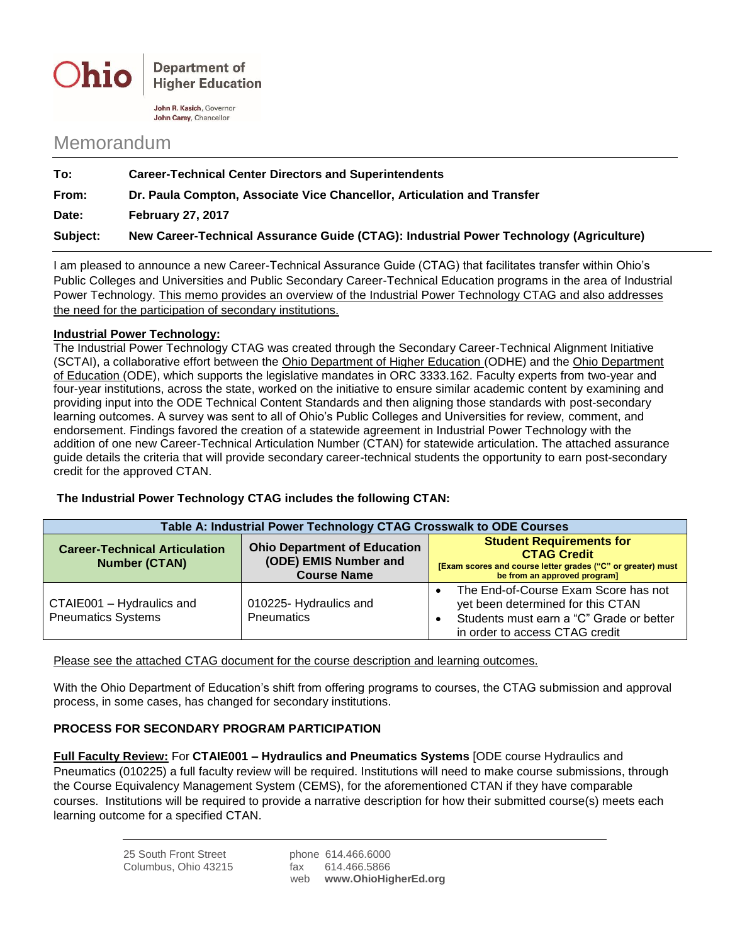

**Department of Higher Education** 

John R. Kasich, Governor John Carev. Chancellor

## Memorandum

| Subject: | New Career-Technical Assurance Guide (CTAG): Industrial Power Technology (Agriculture) |
|----------|----------------------------------------------------------------------------------------|
| Date:    | <b>February 27, 2017</b>                                                               |
| From:    | Dr. Paula Compton, Associate Vice Chancellor, Articulation and Transfer                |
| To:      | <b>Career-Technical Center Directors and Superintendents</b>                           |

I am pleased to announce a new Career-Technical Assurance Guide (CTAG) that facilitates transfer within Ohio's Public Colleges and Universities and Public Secondary Career-Technical Education programs in the area of Industrial Power Technology. This memo provides an overview of the Industrial Power Technology CTAG and also addresses the need for the participation of secondary institutions.

## **Industrial Power Technology:**

The Industrial Power Technology CTAG was created through the Secondary Career-Technical Alignment Initiative (SCTAI), a collaborative effort between the Ohio Department of Higher Education (ODHE) and the Ohio Department of Education (ODE), which supports the legislative mandates in ORC 3333.162. Faculty experts from two-year and four-year institutions, across the state, worked on the initiative to ensure similar academic content by examining and providing input into the ODE Technical Content Standards and then aligning those standards with post-secondary learning outcomes. A survey was sent to all of Ohio's Public Colleges and Universities for review, comment, and endorsement. Findings favored the creation of a statewide agreement in Industrial Power Technology with the addition of one new Career-Technical Articulation Number (CTAN) for statewide articulation. The attached assurance guide details the criteria that will provide secondary career-technical students the opportunity to earn post-secondary credit for the approved CTAN.

## **The Industrial Power Technology CTAG includes the following CTAN:**

| Table A: Industrial Power Technology CTAG Crosswalk to ODE Courses |                                                                                    |                                                                                                                                                         |  |  |
|--------------------------------------------------------------------|------------------------------------------------------------------------------------|---------------------------------------------------------------------------------------------------------------------------------------------------------|--|--|
| <b>Career-Technical Articulation</b><br><b>Number (CTAN)</b>       | <b>Ohio Department of Education</b><br>(ODE) EMIS Number and<br><b>Course Name</b> | <b>Student Requirements for</b><br><b>CTAG Credit</b><br>[Exam scores and course letter grades ("C" or greater) must<br>be from an approved program]    |  |  |
| CTAIE001 - Hydraulics and<br><b>Pneumatics Systems</b>             | 010225- Hydraulics and<br><b>Pneumatics</b>                                        | The End-of-Course Exam Score has not<br>yet been determined for this CTAN<br>Students must earn a "C" Grade or better<br>in order to access CTAG credit |  |  |

Please see the attached CTAG document for the course description and learning outcomes.

With the Ohio Department of Education's shift from offering programs to courses, the CTAG submission and approval process, in some cases, has changed for secondary institutions.

## **PROCESS FOR SECONDARY PROGRAM PARTICIPATION**

**Full Faculty Review:** For **CTAIE001 – Hydraulics and Pneumatics Systems** [ODE course Hydraulics and Pneumatics (010225) a full faculty review will be required. Institutions will need to make course submissions, through the Course Equivalency Management System (CEMS), for the aforementioned CTAN if they have comparable courses. Institutions will be required to provide a narrative description for how their submitted course(s) meets each learning outcome for a specified CTAN.

| web                                         | www.OhioHigherEd.org |
|---------------------------------------------|----------------------|
| Columbus, Ohio 43215<br>614.466.5866<br>fax |                      |
| 25 South Front Street<br>phone 614.466.6000 |                      |